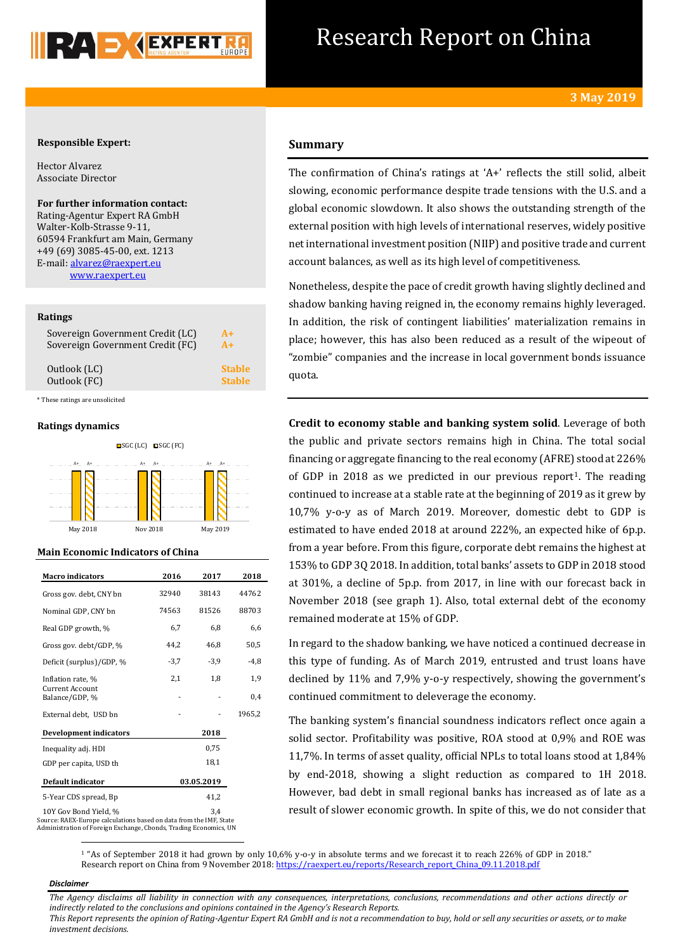

# Research Report on China

# **Responsible Expert:**

Hector Alvarez Associate Director

**For further information contact:** Rating-Agentur Expert RA GmbH Walter-Kolb-Strasse 9-11, 60594 Frankfurt am Main, Germany +49 (69) 3085-45-00, ext. 1213 E-mail[: alvarez@raexpert.eu](mailto:alvarez@raexpert.eu) [www.raexpert.eu](http://raexpert.eu/)

## **Ratings**

| Sovereign Government Credit (LC) | $A+$          |
|----------------------------------|---------------|
| Sovereign Government Credit (FC) | $A+$          |
| Outlook (LC)                     | <b>Stable</b> |
| Outlook (FC)                     | <b>Stable</b> |

\* These ratings are unsolicited

### **Ratings dynamics**



# **Main Economic Indicators of China**

| <b>Macro indicators</b>                                                                     | 2016   | 2017       | 2018   |
|---------------------------------------------------------------------------------------------|--------|------------|--------|
| Gross gov. debt, CNY bn                                                                     | 32940  | 38143      | 44762  |
| Nominal GDP, CNY bn                                                                         | 74563  | 81526      | 88703  |
| Real GDP growth, %                                                                          | 6,7    | 6,8        | 6,6    |
| Gross gov. debt/GDP, %                                                                      | 44.2   | 46.8       | 50,5   |
| Deficit (surplus)/GDP, %                                                                    | $-3,7$ | $-3,9$     | $-4,8$ |
| Inflation rate, %                                                                           | 2,1    | 1,8        | 1,9    |
| <b>Current Account</b><br>Balance/GDP, %                                                    |        |            | 0,4    |
| External debt, USD bn                                                                       |        |            | 1965,2 |
| <b>Development indicators</b>                                                               |        | 2018       |        |
| Inequality adj. HDI                                                                         |        | 0.75       |        |
| GDP per capita, USD th                                                                      |        | 18,1       |        |
| Default indicator                                                                           |        | 03.05.2019 |        |
| 5-Year CDS spread, Bp                                                                       |        | 41,2       |        |
| 10Y Gov Bond Yield, %<br>to the DADV Process calculations have done data from the IMP Proto |        | 3,4        |        |

Source: RAEX-Europe calculations based on data from the IMF, State Administration of Foreign Exchange, Cbonds, Trading Economics, UN

# **Summary**

The confirmation of China's ratings at 'A+' reflects the still solid, albeit slowing, economic performance despite trade tensions with the U.S. and a global economic slowdown. It also shows the outstanding strength of the external position with high levels of international reserves, widely positive net international investment position (NIIP) and positive trade and current account balances, as well as its high level of competitiveness.

Nonetheless, despite the pace of credit growth having slightly declined and shadow banking having reigned in, the economy remains highly leveraged. In addition, the risk of contingent liabilities' materialization remains in place; however, this has also been reduced as a result of the wipeout of "zombie" companies and the increase in local government bonds issuance quota.

**Credit to economy stable and banking system solid**. Leverage of both the public and private sectors remains high in China. The total social financing or aggregate financing to the real economy (AFRE) stood at 226% of GDP in 2018 as we predicted in our previous report<sup>1</sup>. The reading continued to increase at a stable rate at the beginning of 2019 as it grew by 10,7% y-o-y as of March 2019. Moreover, domestic debt to GDP is estimated to have ended 2018 at around 222%, an expected hike of 6p.p. from a year before. From this figure, corporate debt remains the highest at 153% to GDP 3Q 2018. In addition, total banks' assets to GDP in 2018 stood at 301%, a decline of 5p.p. from 2017, in line with our forecast back in November 2018 (see graph 1). Also, total external debt of the economy remained moderate at 15% of GDP.

In regard to the shadow banking, we have noticed a continued decrease in this type of funding. As of March 2019, entrusted and trust loans have declined by 11% and 7,9% y-o-y respectively, showing the government's continued commitment to deleverage the economy.

The banking system's financial soundness indicators reflect once again a solid sector. Profitability was positive, ROA stood at 0,9% and ROE was 11,7%. In terms of asset quality, official NPLs to total loans stood at 1,84% by end-2018, showing a slight reduction as compared to 1H 2018. However, bad debt in small regional banks has increased as of late as a result of slower economic growth. In spite of this, we do not consider that

<sup>1</sup> "As of September 2018 it had grown by only 10,6% y-o-y in absolute terms and we forecast it to reach 226% of GDP in 2018." Research report on China from 9 November 2018[: https://raexpert.eu/reports/Research\\_report\\_China\\_09.11.2018.pdf](https://raexpert.eu/reports/Research_report_China_09.11.2018.pdf)

#### *Disclaimer*

 $\overline{a}$ 

*The Agency disclaims all liability in connection with any consequences, interpretations, conclusions, recommendations and other actions directly or indirectly related to the conclusions and opinions contained in the Agency's Research Reports.*

*This Report represents the opinion of Rating-Agentur Expert RA GmbH and is not a recommendation to buy, hold or sell any securities or assets, or to make investment decisions.*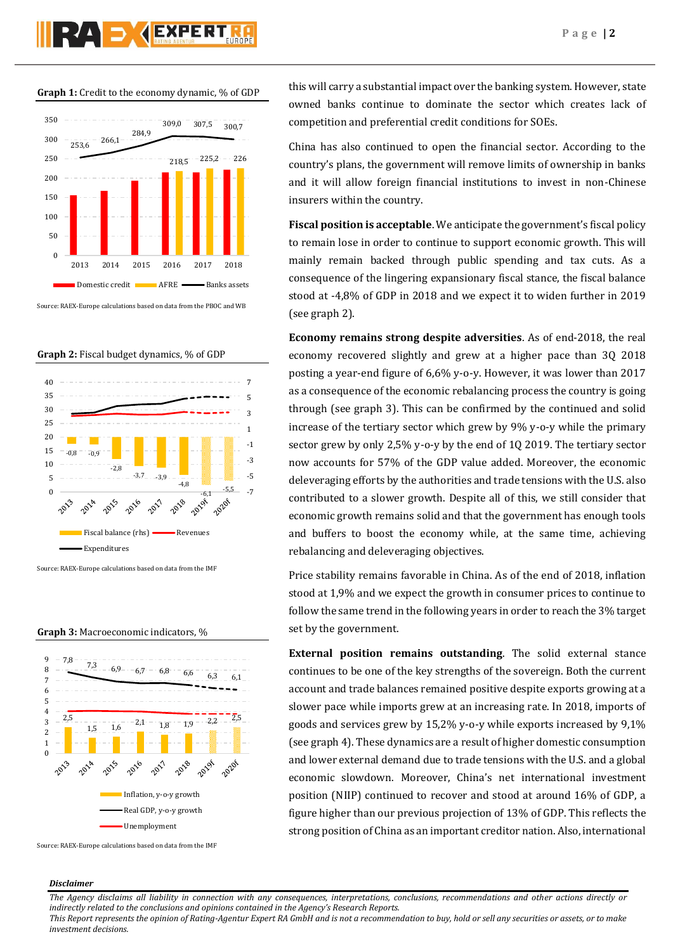# RA DYEXPERT

**Graph 1:** Credit to the economy dynamic, % of GDP



Source: RAEX-Europe calculations based on data from the PBOC and WB





Source: RAEX-Europe calculations based on data from the IMF





Source: RAEX-Europe calculations based on data from the IMF

this will carry a substantial impact over the banking system. However, state owned banks continue to dominate the sector which creates lack of competition and preferential credit conditions for SOEs.

China has also continued to open the financial sector. According to the country's plans, the government will remove limits of ownership in banks and it will allow foreign financial institutions to invest in non-Chinese insurers within the country.

**Fiscal position is acceptable**. We anticipate the government's fiscal policy to remain lose in order to continue to support economic growth. This will mainly remain backed through public spending and tax cuts. As a consequence of the lingering expansionary fiscal stance, the fiscal balance stood at -4,8% of GDP in 2018 and we expect it to widen further in 2019 (see graph 2).

**Economy remains strong despite adversities**. As of end-2018, the real economy recovered slightly and grew at a higher pace than 3Q 2018 posting a year-end figure of 6,6% y-o-y. However, it was lower than 2017 as a consequence of the economic rebalancing process the country is going through (see graph 3). This can be confirmed by the continued and solid increase of the tertiary sector which grew by 9% y-o-y while the primary sector grew by only 2,5% y-o-y by the end of 1Q 2019. The tertiary sector now accounts for 57% of the GDP value added. Moreover, the economic deleveraging efforts by the authorities and trade tensions with the U.S. also contributed to a slower growth. Despite all of this, we still consider that economic growth remains solid and that the government has enough tools and buffers to boost the economy while, at the same time, achieving rebalancing and deleveraging objectives.

Price stability remains favorable in China. As of the end of 2018, inflation stood at 1,9% and we expect the growth in consumer prices to continue to follow the same trend in the following years in order to reach the 3% target set by the government.

**External position remains outstanding**. The solid external stance continues to be one of the key strengths of the sovereign. Both the current account and trade balances remained positive despite exports growing at a slower pace while imports grew at an increasing rate. In 2018, imports of goods and services grew by 15,2% y-o-y while exports increased by 9,1% (see graph 4). These dynamics are a result of higher domestic consumption and lower external demand due to trade tensions with the U.S. and a global economic slowdown. Moreover, China's net international investment position (NIIP) continued to recover and stood at around 16% of GDP, a figure higher than our previous projection of 13% of GDP. This reflects the strong position of China as an important creditor nation. Also, international

# *Disclaimer*

*The Agency disclaims all liability in connection with any consequences, interpretations, conclusions, recommendations and other actions directly or indirectly related to the conclusions and opinions contained in the Agency's Research Reports.*

*This Report represents the opinion of Rating-Agentur Expert RA GmbH and is not a recommendation to buy, hold or sell any securities or assets, or to make investment decisions.*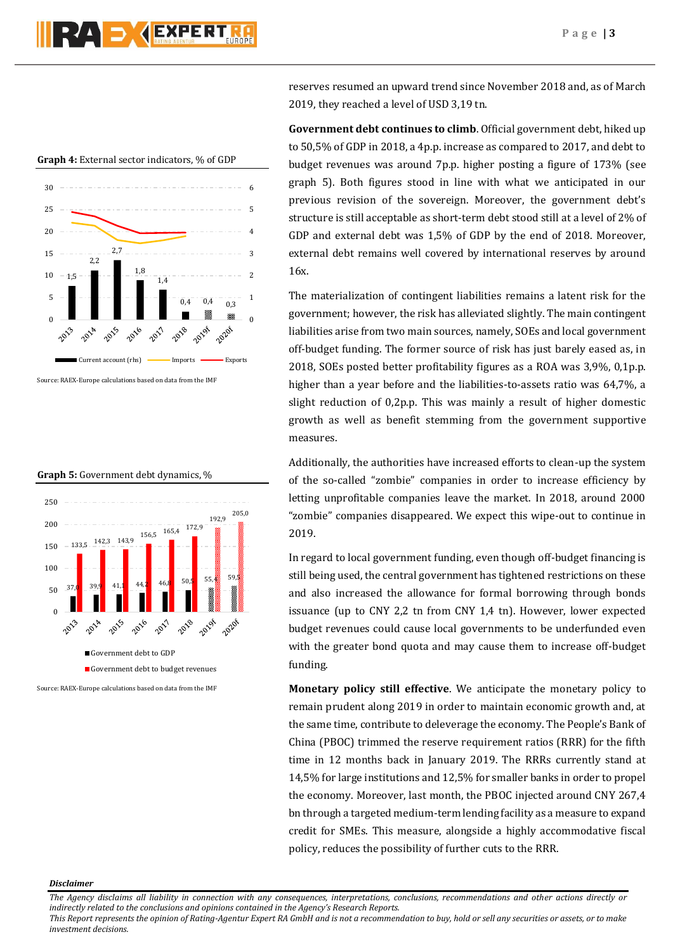**Graph 4:** External sector indicators, % of GDP



Source: RAEX-Europe calculations based on data from the IMF





Source: RAEX-Europe calculations based on data from the IMF

reserves resumed an upward trend since November 2018 and, as of March 2019, they reached a level of USD 3,19 tn.

**Government debt continues to climb**. Official government debt, hiked up to 50,5% of GDP in 2018, a 4p.p. increase as compared to 2017, and debt to budget revenues was around 7p.p. higher posting a figure of 173% (see graph 5). Both figures stood in line with what we anticipated in our previous revision of the sovereign. Moreover, the government debt's structure is still acceptable as short-term debt stood still at a level of 2% of GDP and external debt was 1,5% of GDP by the end of 2018. Moreover, external debt remains well covered by international reserves by around 16x.

The materialization of contingent liabilities remains a latent risk for the government; however, the risk has alleviated slightly. The main contingent liabilities arise from two main sources, namely, SOEs and local government off-budget funding. The former source of risk has just barely eased as, in 2018, SOEs posted better profitability figures as a ROA was 3,9%, 0,1p.p. higher than a year before and the liabilities-to-assets ratio was 64,7%, a slight reduction of 0,2p.p. This was mainly a result of higher domestic growth as well as benefit stemming from the government supportive measures.

Additionally, the authorities have increased efforts to clean-up the system of the so-called "zombie" companies in order to increase efficiency by letting unprofitable companies leave the market. In 2018, around 2000 "zombie" companies disappeared. We expect this wipe-out to continue in 2019.

In regard to local government funding, even though off-budget financing is still being used, the central government has tightened restrictions on these and also increased the allowance for formal borrowing through bonds issuance (up to CNY 2,2 tn from CNY 1,4 tn). However, lower expected budget revenues could cause local governments to be underfunded even with the greater bond quota and may cause them to increase off-budget funding.

**Monetary policy still effective**. We anticipate the monetary policy to remain prudent along 2019 in order to maintain economic growth and, at the same time, contribute to deleverage the economy. The People's Bank of China (PBOC) trimmed the reserve requirement ratios (RRR) for the fifth time in 12 months back in January 2019. The RRRs currently stand at 14,5% for large institutions and 12,5% for smaller banks in order to propel the economy. Moreover, last month, the PBOC injected around CNY 267,4 bn through a targeted medium-term lending facility as a measure to expand credit for SMEs. This measure, alongside a highly accommodative fiscal policy, reduces the possibility of further cuts to the RRR.

### *Disclaimer*

*The Agency disclaims all liability in connection with any consequences, interpretations, conclusions, recommendations and other actions directly or indirectly related to the conclusions and opinions contained in the Agency's Research Reports.*

*This Report represents the opinion of Rating-Agentur Expert RA GmbH and is not a recommendation to buy, hold or sell any securities or assets, or to make investment decisions.*